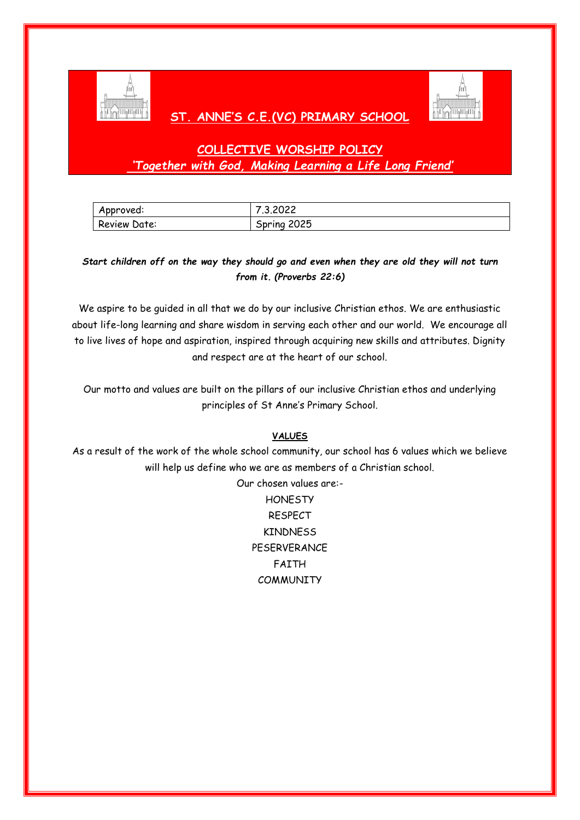

# **ST. ANNE'S C.E.(VC) PRIMARY SCHOOL**



# **COLLECTIVE WORSHIP POLICY** *'Together with God, Making Learning a Life Long Friend'*

| Approved:    | 7.3.2022       |
|--------------|----------------|
| Review Date: | 2025<br>Spring |

# *Start children off on the way they should go and even when they are old they will not turn from it. (Proverbs 22:6)*

We aspire to be guided in all that we do by our inclusive Christian ethos. We are enthusiastic about life-long learning and share wisdom in serving each other and our world. We encourage all to live lives of hope and aspiration, inspired through acquiring new skills and attributes. Dignity and respect are at the heart of our school.

Our motto and values are built on the pillars of our inclusive Christian ethos and underlying principles of St Anne's Primary School.

### **VALUES**

As a result of the work of the whole school community, our school has 6 values which we believe will help us define who we are as members of a Christian school.

> Our chosen values are:- **HONESTY** RESPECT KINDNESS PESERVERANCE FAITH **COMMUNITY**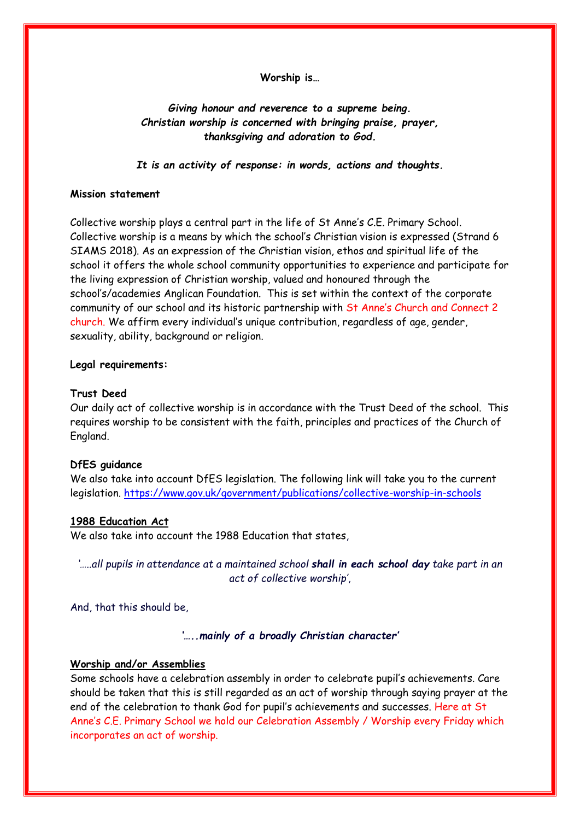**Worship is…**

*Giving honour and reverence to a supreme being. Christian worship is concerned with bringing praise, prayer, thanksgiving and adoration to God.* 

*It is an activity of response: in words, actions and thoughts.*

#### **Mission statement**

Collective worship plays a central part in the life of St Anne's C.E. Primary School. Collective worship is a means by which the school's Christian vision is expressed (Strand 6 SIAMS 2018). As an expression of the Christian vision, ethos and spiritual life of the school it offers the whole school community opportunities to experience and participate for the living expression of Christian worship, valued and honoured through the school's/academies Anglican Foundation. This is set within the context of the corporate community of our school and its historic partnership with St Anne's Church and Connect 2 church. We affirm every individual's unique contribution, regardless of age, gender, sexuality, ability, background or religion.

#### **Legal requirements:**

#### **Trust Deed**

Our daily act of collective worship is in accordance with the Trust Deed of the school. This requires worship to be consistent with the faith, principles and practices of the Church of England.

#### **DfES guidance**

We also take into account DfES legislation. The following link will take you to the current legislation.<https://www.gov.uk/government/publications/collective-worship-in-schools>

#### **1988 Education Act**

We also take into account the 1988 Education that states,

*'…..all pupils in attendance at a maintained school shall in each school day take part in an act of collective worship'*,

And, that this should be,

*'…..mainly of a broadly Christian character'*

#### **Worship and/or Assemblies**

Some schools have a celebration assembly in order to celebrate pupil's achievements. Care should be taken that this is still regarded as an act of worship through saying prayer at the end of the celebration to thank God for pupil's achievements and successes. Here at St Anne's C.E. Primary School we hold our Celebration Assembly / Worship every Friday which incorporates an act of worship.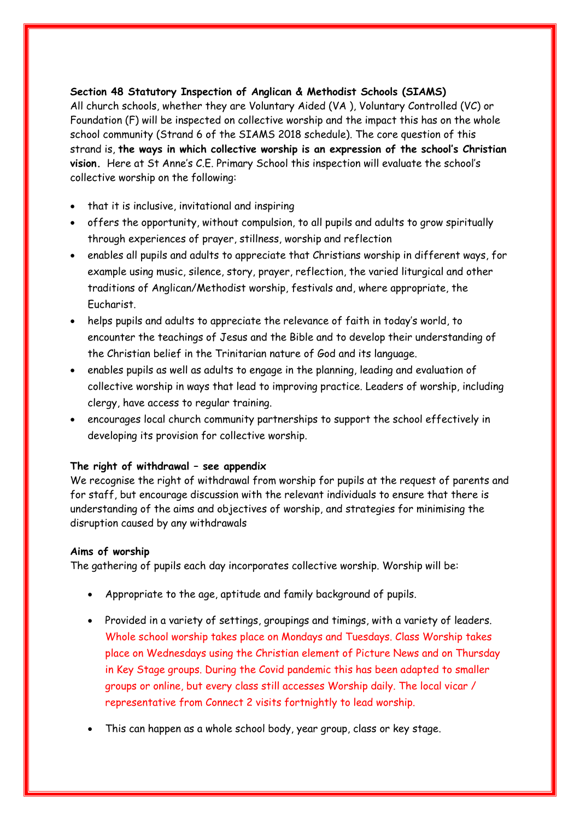# **Section 48 Statutory Inspection of Anglican & Methodist Schools (SIAMS)**

All church schools, whether they are Voluntary Aided (VA ), Voluntary Controlled (VC) or Foundation (F) will be inspected on collective worship and the impact this has on the whole school community (Strand 6 of the SIAMS 2018 schedule). The core question of this strand is, **the ways in which collective worship is an expression of the school's Christian vision.** Here at St Anne's C.E. Primary School this inspection will evaluate the school's collective worship on the following:

- that it is inclusive, invitational and inspiring
- offers the opportunity, without compulsion, to all pupils and adults to grow spiritually through experiences of prayer, stillness, worship and reflection
- enables all pupils and adults to appreciate that Christians worship in different ways, for example using music, silence, story, prayer, reflection, the varied liturgical and other traditions of Anglican/Methodist worship, festivals and, where appropriate, the Eucharist.
- helps pupils and adults to appreciate the relevance of faith in today's world, to encounter the teachings of Jesus and the Bible and to develop their understanding of the Christian belief in the Trinitarian nature of God and its language.
- enables pupils as well as adults to engage in the planning, leading and evaluation of collective worship in ways that lead to improving practice. Leaders of worship, including clergy, have access to regular training.
- encourages local church community partnerships to support the school effectively in developing its provision for collective worship.

### **The right of withdrawal – see appendix**

We recognise the right of withdrawal from worship for pupils at the request of parents and for staff, but encourage discussion with the relevant individuals to ensure that there is understanding of the aims and objectives of worship, and strategies for minimising the disruption caused by any withdrawals

### **Aims of worship**

The gathering of pupils each day incorporates collective worship. Worship will be:

- Appropriate to the age, aptitude and family background of pupils.
- Provided in a variety of settings, groupings and timings, with a variety of leaders. Whole school worship takes place on Mondays and Tuesdays. Class Worship takes place on Wednesdays using the Christian element of Picture News and on Thursday in Key Stage groups. During the Covid pandemic this has been adapted to smaller groups or online, but every class still accesses Worship daily. The local vicar / representative from Connect 2 visits fortnightly to lead worship.
- This can happen as a whole school body, year group, class or key stage.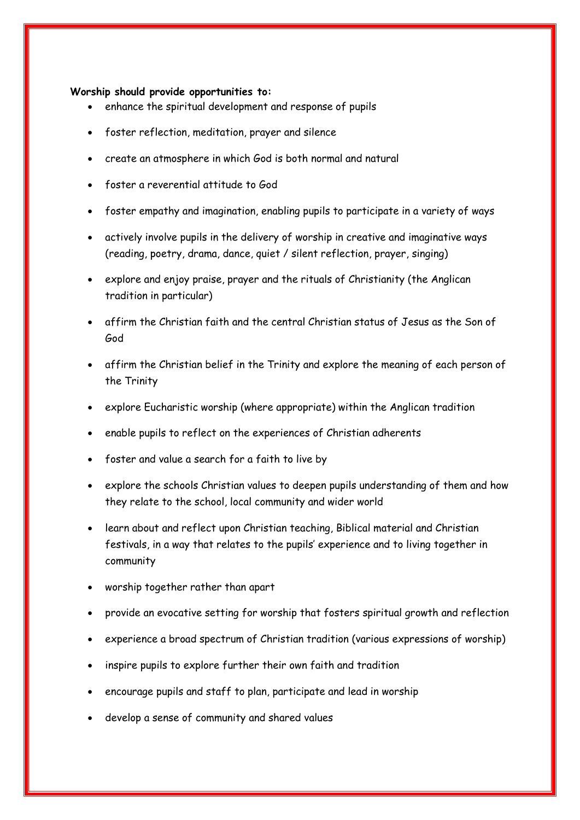#### **Worship should provide opportunities to:**

- enhance the spiritual development and response of pupils
- foster reflection, meditation, prayer and silence
- create an atmosphere in which God is both normal and natural
- foster a reverential attitude to God
- foster empathy and imagination, enabling pupils to participate in a variety of ways
- actively involve pupils in the delivery of worship in creative and imaginative ways (reading, poetry, drama, dance, quiet / silent reflection, prayer, singing)
- explore and enjoy praise, prayer and the rituals of Christianity (the Anglican tradition in particular)
- affirm the Christian faith and the central Christian status of Jesus as the Son of God
- affirm the Christian belief in the Trinity and explore the meaning of each person of the Trinity
- explore Eucharistic worship (where appropriate) within the Anglican tradition
- enable pupils to reflect on the experiences of Christian adherents
- foster and value a search for a faith to live by
- explore the schools Christian values to deepen pupils understanding of them and how they relate to the school, local community and wider world
- learn about and reflect upon Christian teaching, Biblical material and Christian festivals, in a way that relates to the pupils' experience and to living together in community
- worship together rather than apart
- provide an evocative setting for worship that fosters spiritual growth and reflection
- experience a broad spectrum of Christian tradition (various expressions of worship)
- inspire pupils to explore further their own faith and tradition
- encourage pupils and staff to plan, participate and lead in worship
- develop a sense of community and shared values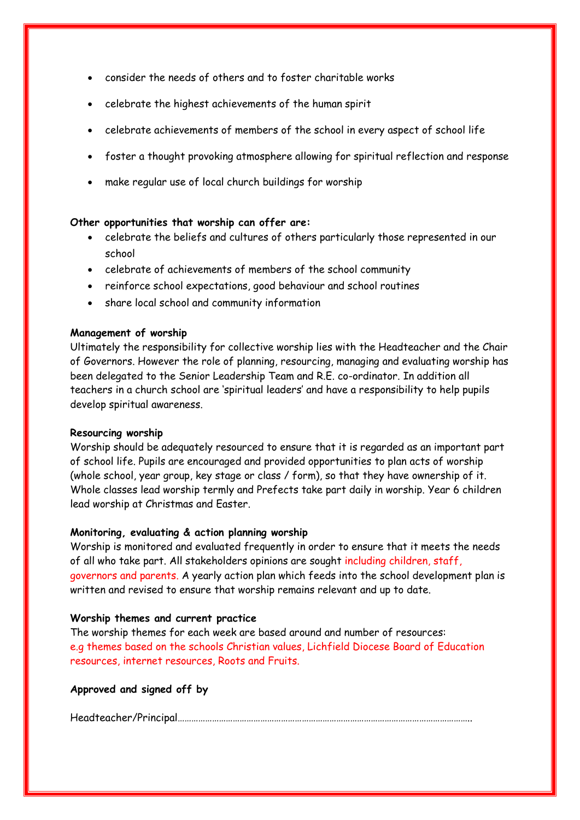- consider the needs of others and to foster charitable works
- celebrate the highest achievements of the human spirit
- celebrate achievements of members of the school in every aspect of school life
- foster a thought provoking atmosphere allowing for spiritual reflection and response
- make regular use of local church buildings for worship

### **Other opportunities that worship can offer are:**

- celebrate the beliefs and cultures of others particularly those represented in our school
- celebrate of achievements of members of the school community
- reinforce school expectations, good behaviour and school routines
- share local school and community information

#### **Management of worship**

Ultimately the responsibility for collective worship lies with the Headteacher and the Chair of Governors. However the role of planning, resourcing, managing and evaluating worship has been delegated to the Senior Leadership Team and R.E. co-ordinator. In addition all teachers in a church school are 'spiritual leaders' and have a responsibility to help pupils develop spiritual awareness.

#### **Resourcing worship**

Worship should be adequately resourced to ensure that it is regarded as an important part of school life. Pupils are encouraged and provided opportunities to plan acts of worship (whole school, year group, key stage or class / form), so that they have ownership of it. Whole classes lead worship termly and Prefects take part daily in worship. Year 6 children lead worship at Christmas and Easter.

### **Monitoring, evaluating & action planning worship**

Worship is monitored and evaluated frequently in order to ensure that it meets the needs of all who take part. All stakeholders opinions are sought including children, staff, governors and parents. A yearly action plan which feeds into the school development plan is written and revised to ensure that worship remains relevant and up to date.

### **Worship themes and current practice**

The worship themes for each week are based around and number of resources: e.g themes based on the schools Christian values, Lichfield Diocese Board of Education resources, internet resources, Roots and Fruits.

### **Approved and signed off by**

Headteacher/Principal………………………………………………………………………………………………………………..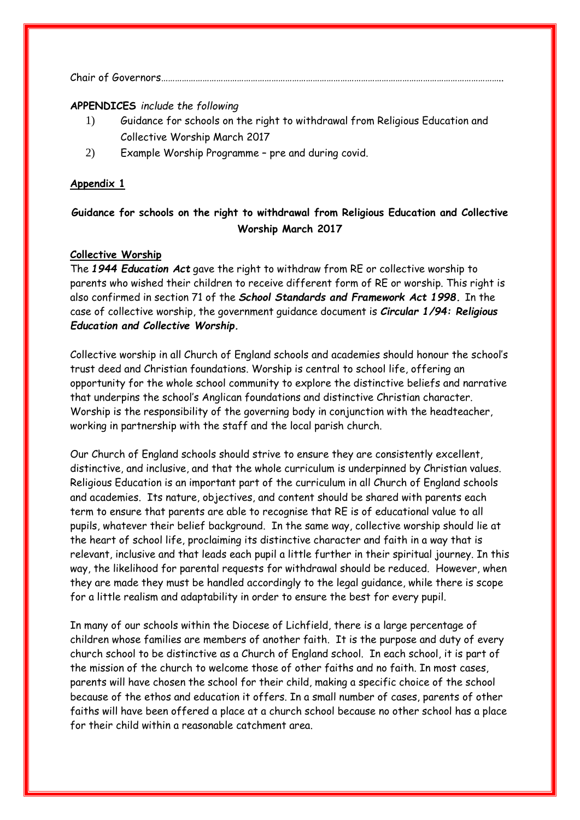Chair of Governors…………………………………………………………………………………………………………………………………..

#### **APPENDICES** *include the following*

- 1) Guidance for schools on the right to withdrawal from Religious Education and Collective Worship March 2017
- 2) Example Worship Programme pre and during covid.

#### **Appendix 1**

# **Guidance for schools on the right to withdrawal from Religious Education and Collective Worship March 2017**

# **Collective Worship**

The *1944 Education Act* gave the right to withdraw from RE or collective worship to parents who wished their children to receive different form of RE or worship. This right is also confirmed in section 71 of the *School Standards and Framework Act 1998.* In the case of collective worship, the government guidance document is *Circular 1/94: Religious Education and Collective Worship.*

Collective worship in all Church of England schools and academies should honour the school's trust deed and Christian foundations. Worship is central to school life, offering an opportunity for the whole school community to explore the distinctive beliefs and narrative that underpins the school's Anglican foundations and distinctive Christian character. Worship is the responsibility of the governing body in conjunction with the headteacher, working in partnership with the staff and the local parish church.

Our Church of England schools should strive to ensure they are consistently excellent, distinctive, and inclusive, and that the whole curriculum is underpinned by Christian values. Religious Education is an important part of the curriculum in all Church of England schools and academies. Its nature, objectives, and content should be shared with parents each term to ensure that parents are able to recognise that RE is of educational value to all pupils, whatever their belief background. In the same way, collective worship should lie at the heart of school life, proclaiming its distinctive character and faith in a way that is relevant, inclusive and that leads each pupil a little further in their spiritual journey. In this way, the likelihood for parental requests for withdrawal should be reduced. However, when they are made they must be handled accordingly to the legal guidance, while there is scope for a little realism and adaptability in order to ensure the best for every pupil.

In many of our schools within the Diocese of Lichfield, there is a large percentage of children whose families are members of another faith. It is the purpose and duty of every church school to be distinctive as a Church of England school. In each school, it is part of the mission of the church to welcome those of other faiths and no faith. In most cases, parents will have chosen the school for their child, making a specific choice of the school because of the ethos and education it offers. In a small number of cases, parents of other faiths will have been offered a place at a church school because no other school has a place for their child within a reasonable catchment area.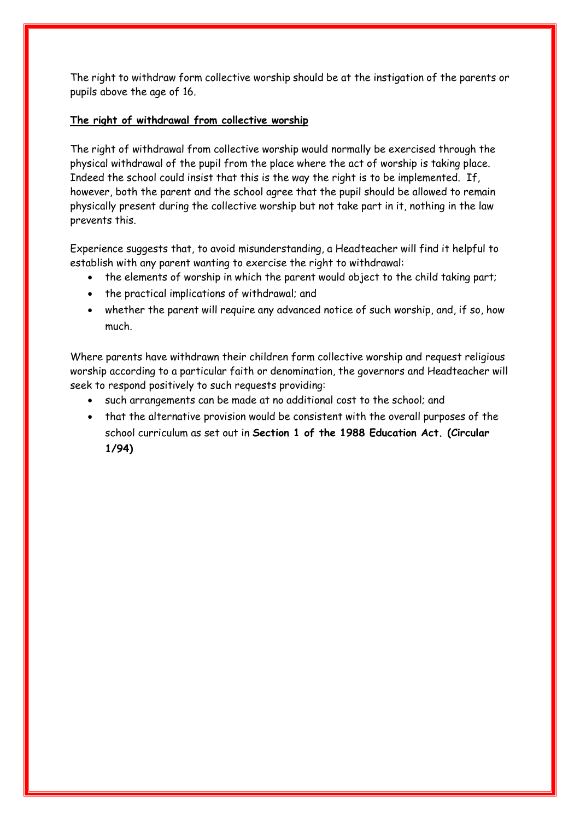The right to withdraw form collective worship should be at the instigation of the parents or pupils above the age of 16.

#### **The right of withdrawal from collective worship**

The right of withdrawal from collective worship would normally be exercised through the physical withdrawal of the pupil from the place where the act of worship is taking place. Indeed the school could insist that this is the way the right is to be implemented. If, however, both the parent and the school agree that the pupil should be allowed to remain physically present during the collective worship but not take part in it, nothing in the law prevents this.

Experience suggests that, to avoid misunderstanding, a Headteacher will find it helpful to establish with any parent wanting to exercise the right to withdrawal:

- the elements of worship in which the parent would object to the child taking part;
- the practical implications of withdrawal; and
- whether the parent will require any advanced notice of such worship, and, if so, how much.

Where parents have withdrawn their children form collective worship and request religious worship according to a particular faith or denomination, the governors and Headteacher will seek to respond positively to such requests providing:

- such arrangements can be made at no additional cost to the school; and
- that the alternative provision would be consistent with the overall purposes of the school curriculum as set out in **Section 1 of the 1988 Education Act. (Circular 1/94)**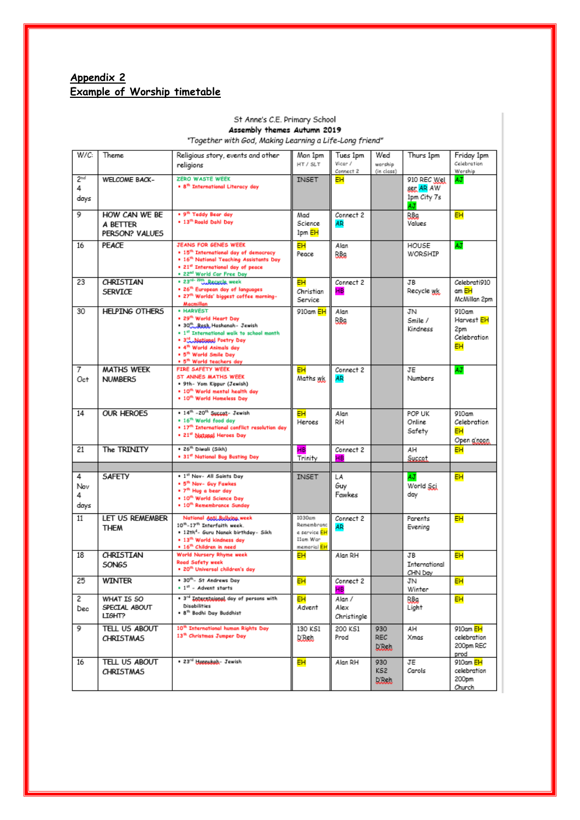# **Appendix 2 Example of Worship timetable**

#### St Anne's C.E. Primary School

Assembly themes Autumn 2019<br>"Together with God, Making Learning a Life-Long friend"

| W/C:                         | Theme                                       | Religious story, events and other<br>religions                                                                                                                                                                                                                                 | Mon 1pm<br>HT / SLT                                             | Tues 1pm<br>Vicar /<br>Connect <sub>2</sub> | Wed<br>worship<br>(in class)       | Thurs 1pm                                      | Friday 1pm<br>Celebration<br>Worship                      |
|------------------------------|---------------------------------------------|--------------------------------------------------------------------------------------------------------------------------------------------------------------------------------------------------------------------------------------------------------------------------------|-----------------------------------------------------------------|---------------------------------------------|------------------------------------|------------------------------------------------|-----------------------------------------------------------|
| 2 <sup>nd</sup><br>4<br>days | <b>WELCOME BACK-</b>                        | ZERO WASTE WEEK<br>. 8 <sup>th</sup> International Literacy day                                                                                                                                                                                                                | <b>INSET</b>                                                    | EН                                          |                                    | 910 REC Wel<br>ser AR AW<br>1pm City 7s<br>4.1 | AJ                                                        |
| 9                            | HOW CAN WE BE<br>A BETTER<br>PERSON? VALUES | . 9 <sup>th</sup> Teddy Bear day<br>. 13th Roald Dahl Day                                                                                                                                                                                                                      | Mad<br>Science<br>1pm <mark>EH</mark>                           | Connect 2<br><b>AR</b>                      |                                    | RBa<br>Values                                  | <b>EH</b>                                                 |
| 16                           | PEACE                                       | <b>JEANS FOR GENES WEEK</b><br>. 15 <sup>th</sup> International day of democracy<br>. 16th National Teaching Assistants Day<br>. 21 <sup>et</sup> International day of peace<br>. 22 <sup>ml</sup> World Car Free Day                                                          | EН<br>Peace                                                     | Alan<br>RBa                                 |                                    | HOUSE<br>WORSHIP                               | AJ                                                        |
| 23                           | CHRISTIAN<br>SERVICE                        | . 23 <sup>rd- 29th</sup> Recycle week<br>. 26 <sup>th</sup> European day of languages<br>. 27th Worlds' biggest coffee morning-<br>Macmillan                                                                                                                                   | EН<br>Christian<br>Service                                      | Connect 2<br>HВ                             |                                    | JB<br>Recycle wk                               | Celebrati910<br>am EH<br>McMillan 2pm                     |
| 30                           | <b>HELPING OTHERS</b>                       | · HARVEST<br>. 29th World Heart Day<br>• 30th Rash, Hashanah - Jewish<br>. 1st International walk to school month<br>. 3 <sup>rd</sup> National Poetry Day<br>. 4 <sup>th</sup> World Animals day<br>. 5 <sup>th</sup> World Smile Day<br>. 5 <sup>th</sup> World teachers day | 910am EH                                                        | Alan<br>RBa                                 |                                    | JN<br>Smile /<br>Kindness                      | 910am<br>Harvest EH<br>2pm<br>Celebration<br>EН           |
| 7<br>Oct                     | MATHS WEEK<br><b>NUMBERS</b>                | <b>FIRE SAFETY WEEK</b><br>ST ANNES MATHS WEEK<br>. 9th- Yom Kippur (Jewish)<br>. 10 <sup>th</sup> World mental health day<br>. 10th World Homeless Day                                                                                                                        | EН<br>Maths wk                                                  | Connect 2<br>AR                             |                                    | JE<br>Numbers                                  | AJ                                                        |
| 14                           | <b>OUR HEROES</b>                           | . 14th -20th Succet- Jewish<br>. 16 <sup>th</sup> World food day<br>. 17 <sup>th</sup> International conflict resolution day<br>• 21 <sup>st</sup> Natasal Heroes Day                                                                                                          | EН<br>Heroes                                                    | Alan<br>RH.                                 |                                    | POP UK<br>Online<br>Safety                     | 910am<br>Celebration<br>EН<br>Open groon                  |
| 21                           | The TRINITY                                 | • 26 <sup>th</sup> Diwali (Sikh)<br>. 31st National Bug Busting Day                                                                                                                                                                                                            | HВ<br>Trinity                                                   | Connect 2<br>HB                             |                                    | AH<br>Succet                                   | EН                                                        |
| 4<br>Nov<br>4<br>days        | <b>SAFETY</b>                               | . 1st Nov- All Saints Day<br>. 5 <sup>th</sup> Nov- Guy Fawkes<br>. 7 <sup>th</sup> Hug a bear day<br>. 10th World Science Day<br>. 10 <sup>th</sup> Remembrance Sunday                                                                                                        | <b>INSET</b>                                                    | LA<br>Guy<br>Fawkes                         |                                    | AJ<br>World Sci<br>day                         | EН                                                        |
| 11                           | LET US REMEMBER<br><b>THEM</b>              | National Anti.Bullving.week<br>$10^{th}$ -17 <sup>th</sup> Interfaith week.<br>. 12th <sup>d</sup> - Guru Nanak birthday- Sikh<br>. 13 <sup>th</sup> World kindness day<br>. 16 <sup>th</sup> Children in need                                                                 | 1030am<br>Remembranc<br>e service EH<br>Ilam War<br>memorial EH | Connect 2<br><b>AR</b>                      |                                    | Parents<br>Evening                             | EН                                                        |
| 18                           | CHRISTIAN<br><b>SONGS</b>                   | <b>World Nursery Rhyme week</b><br><b>Road Safety week</b><br>. 20 <sup>th</sup> Universal children's day                                                                                                                                                                      | EH.                                                             | Alan RH                                     |                                    | JB.<br>International<br>CHN Day                | EН                                                        |
| 25                           | WINTER                                      | . 30 <sup>th</sup> - St Andrews Day<br>$\bullet$ 1st - Advent starts                                                                                                                                                                                                           | EН                                                              | Connect 2<br>HВ                             |                                    | JN<br>Winter                                   | EН                                                        |
| 2<br>Dec                     | WHAT IS 50<br>SPECIAL ABOUT<br>Ц6НТ?        | . 3 <sup>rd</sup> Interntaional day of persons with<br><b>Disabilities</b><br>. 8 <sup>th</sup> Bodhi Day Buddhist                                                                                                                                                             | EН<br>Advent                                                    | Alan /<br>Alex<br>Christingle               |                                    | RBa<br>Light                                   | EН                                                        |
| 9                            | TELL US ABOUT<br><b>CHRISTMAS</b>           | 10 <sup>th</sup> International human Rights Day<br>13 <sup>th</sup> Christmas Jumper Day                                                                                                                                                                                       | 130 KS1<br>للمملك                                               | 200 KS1<br>Prod                             | 930<br><b>REC</b><br><b>L'Inde</b> | AH<br>Xmas                                     | 910am <mark>EH</mark><br>celebration<br>200pm REC<br>prod |
| 16                           | TELL US ABOUT<br><b>CHRISTMAS</b>           | • 23 <sup>rd</sup> Hannukah - Jewish                                                                                                                                                                                                                                           | EН                                                              | Alan RH                                     | 930<br>KS2<br>Lanna                | JE<br>Carols                                   | 910am EH<br>celebration<br>200pm<br>Church                |